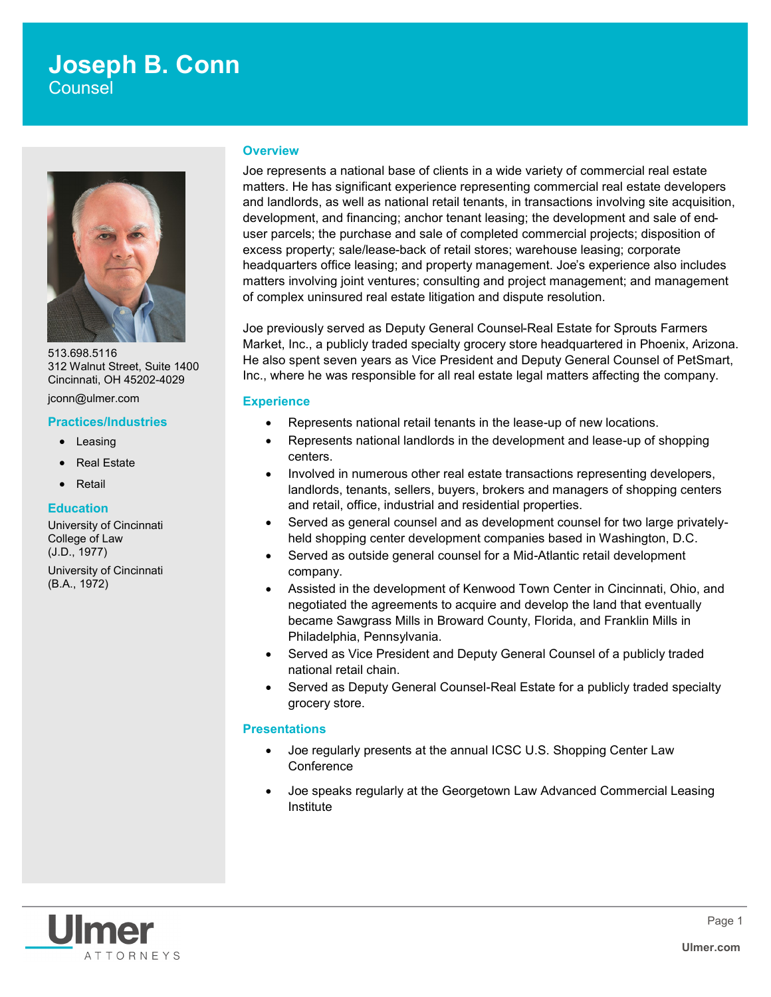# **Joseph B. Conn Counsel**

513.698.5116 312 Walnut Street, Suite 1400 Cincinnati, OH 45202-4029

jconn@ulmer.com

#### **Practices/Industries**

- Leasing
- Real Estate
- Retail

#### **Education**

University of Cincinnati College of Law (J.D., 1977) University of Cincinnati (B.A., 1972)

#### **Overview**

Joe represents a national base of clients in a wide variety of commercial real estate matters. He has significant experience representing commercial real estate developers and landlords, as well as national retail tenants, in transactions involving site acquisition, development, and financing; anchor tenant leasing; the development and sale of enduser parcels; the purchase and sale of completed commercial projects; disposition of excess property; sale/lease-back of retail stores; warehouse leasing; corporate headquarters office leasing; and property management. Joe's experience also includes matters involving joint ventures; consulting and project management; and management of complex uninsured real estate litigation and dispute resolution.

Joe previously served as Deputy General Counsel-Real Estate for Sprouts Farmers Market, Inc., a publicly traded specialty grocery store headquartered in Phoenix, Arizona. He also spent seven years as Vice President and Deputy General Counsel of PetSmart, Inc., where he was responsible for all real estate legal matters affecting the company.

#### **Experience**

- Represents national retail tenants in the lease-up of new locations.
- Represents national landlords in the development and lease-up of shopping centers.
- Involved in numerous other real estate transactions representing developers, landlords, tenants, sellers, buyers, brokers and managers of shopping centers and retail, office, industrial and residential properties.
- Served as general counsel and as development counsel for two large privatelyheld shopping center development companies based in Washington, D.C.
- Served as outside general counsel for a Mid-Atlantic retail development company.
- Assisted in the development of Kenwood Town Center in Cincinnati, Ohio, and negotiated the agreements to acquire and develop the land that eventually became Sawgrass Mills in Broward County, Florida, and Franklin Mills in Philadelphia, Pennsylvania.
- Served as Vice President and Deputy General Counsel of a publicly traded national retail chain.
- Served as Deputy General Counsel-Real Estate for a publicly traded specialty grocery store.

#### **Presentations**

- Joe regularly presents at the annual ICSC U.S. Shopping Center Law **Conference**
- Joe speaks regularly at the Georgetown Law Advanced Commercial Leasing Institute